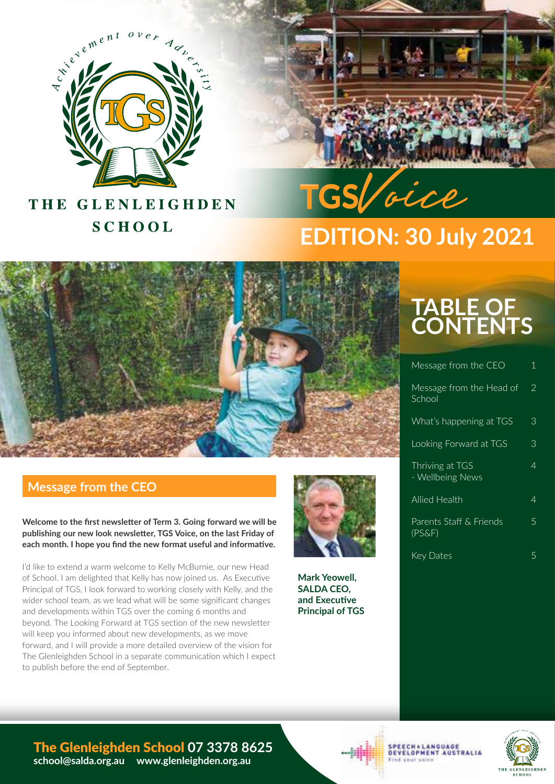

# **TGS**Voice **TGS**Voice

# THE GLENLEIGHDEN **SCHOOL**

# **EDITION: 30 July 2021**



## **Message from the CEO**

**Welcome to the first newsletter of Term 3. Going forward we will be publishing our new look newsletter, TGS Voice, on the last Friday of each month. I hope you find the new format useful and informative.**

I'd like to extend a warm welcome to Kelly McBurnie, our new Head of School. I am delighted that Kelly has now joined us. As Executive Principal of TGS, I look forward to working closely with Kelly, and the wider school team, as we lead what will be some significant changes and developments within TGS over the coming 6 months and beyond. The Looking Forward at TGS section of the new newsletter will keep you informed about new developments, as we move forward, and I will provide a more detailed overview of the vision for The Glenleighden School in a separate communication which I expect to publish before the end of September.



**Mark Yeowell, SALDA CEO, and Executive Principal of TGS** 

# **TABLE OF CONTENTS**

| Message from the CEO                 | 1 |
|--------------------------------------|---|
| Message from the Head of<br>School   | 2 |
| What's happening at TGS              | З |
| Looking Forward at TGS               | 3 |
| Thriving at TGS<br>- Wellbeing News  | 4 |
| <b>Allied Health</b>                 | 4 |
| Parents Staff & Friends<br>$(PS\&F)$ | 5 |
| Key Dates                            | 5 |



#### The Glenleighden School **07 3378 8625 school@salda.org.au www.glenleighden.org.au**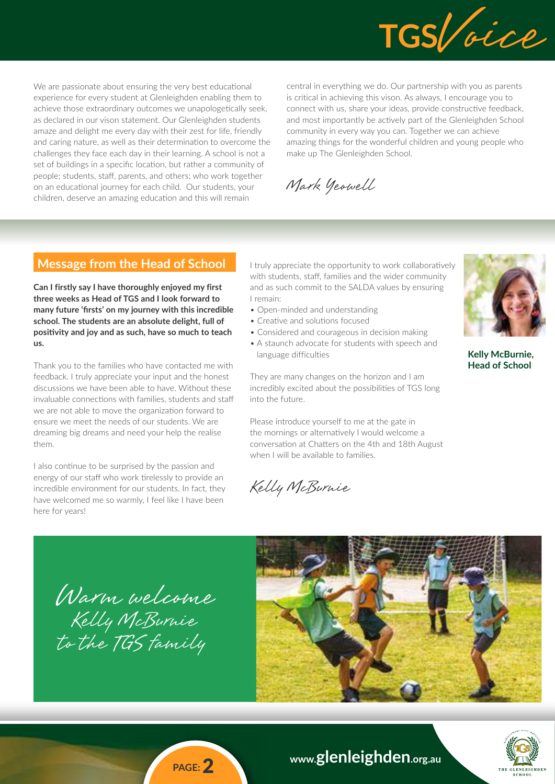

We are passionate about ensuring the very best educational experience for every student at Glenleighden enabling them to achieve those extraordinary outcomes we unapologetically seek, as declared in our vison statement. Our Glenleighden students amaze and delight me every day with their zest for life, friendly and caring nature, as well as their determination to overcome the challenges they face each day in their learning. A school is not a set of buildings in a specific location, but rather a community of people; students, staff, parents, and others; who work together on an educational journey for each child. Our students, your children, deserve an amazing education and this will remain

central in everything we do. Our partnership with you as parents is critical in achieving this vison. As always, I encourage you to connect with us, share your ideas, provide constructive feedback, and most importantly be actively part of the Glenleighden School community in every way you can. Together we can achieve amazing things for the wonderful children and young people who make up The Glenleighden School.

Mark Yeowell

## **Message from the Head of School**

**Can I firstly say I have thoroughly enjoyed my first three weeks as Head of TGS and I look forward to many future 'firsts' on my journey with this incredible school. The students are an absolute delight, full of positivity and joy and as such, have so much to teach us.**

Thank you to the families who have contacted me with feedback. I truly appreciate your input and the honest discussions we have been able to have. Without these invaluable connections with families, students and staff we are not able to move the organization forward to ensure we meet the needs of our students. We are dreaming big dreams and need your help the realise them.

I also continue to be surprised by the passion and energy of our staff who work tirelessly to provide an incredible environment for our students. In fact, they have welcomed me so warmly, I feel like I have been here for years!

I truly appreciate the opportunity to work collaboratively with students, staff, families and the wider community and as such commit to the SALDA values by ensuring I remain:

- Open-minded and understanding
- Creative and solutions focused
- Considered and courageous in decision making
- A staunch advocate for students with speech and language difficulties

They are many changes on the horizon and I am incredibly excited about the possibilities of TGS long into the future.

Please introduce yourself to me at the gate in the mornings or alternatively I would welcome a conversation at Chatters on the 4th and 18th August when I will be available to families.

Kelly McBurnie



**Kelly McBurnie, Head of School**

Warm welcome Kelly McBurnie to the TGS family





**www.glenleighden.org.au**

**PAGE:** 2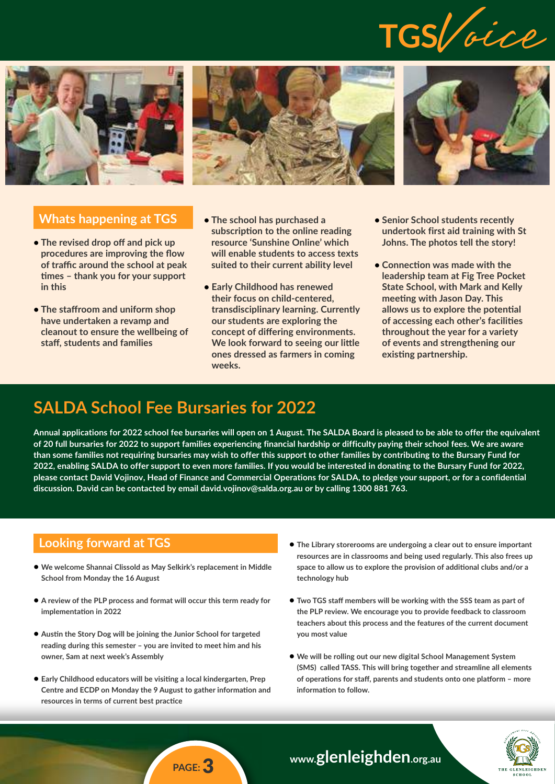







#### **Whats happening at TGS**

- **• The revised drop off and pick up procedures are improving the flow of traffic around the school at peak times – thank you for your support in this**
- **• The staffroom and uniform shop have undertaken a revamp and cleanout to ensure the wellbeing of staff, students and families**
- **• The school has purchased a subscription to the online reading resource 'Sunshine Online' which will enable students to access texts suited to their current ability level**
- **• Early Childhood has renewed their focus on child-centered, transdisciplinary learning. Currently our students are exploring the concept of differing environments. We look forward to seeing our little ones dressed as farmers in coming weeks.**
- **• Senior School students recently undertook first aid training with St Johns. The photos tell the story!**
- **• Connection was made with the leadership team at Fig Tree Pocket State School, with Mark and Kelly meeting with Jason Day. This allows us to explore the potential of accessing each other's facilities throughout the year for a variety of events and strengthening our existing partnership.**

# **SALDA School Fee Bursaries for 2022**

**Annual applications for 2022 school fee bursaries will open on 1 August. The SALDA Board is pleased to be able to offer the equivalent of 20 full bursaries for 2022 to support families experiencing financial hardship or difficulty paying their school fees. We are aware than some families not requiring bursaries may wish to offer this support to other families by contributing to the Bursary Fund for 2022, enabling SALDA to offer support to even more families. If you would be interested in donating to the Bursary Fund for 2022, please contact David Vojinov, Head of Finance and Commercial Operations for SALDA, to pledge your support, or for a confidential discussion. David can be contacted by email david.vojinov@salda.org.au or by calling 1300 881 763.**

## **Looking forward at TGS**

- **• We welcome Shannai Clissold as May Selkirk's replacement in Middle School from Monday the 16 August**
- **• A review of the PLP process and format will occur this term ready for implementation in 2022**
- **• Austin the Story Dog will be joining the Junior School for targeted reading during this semester – you are invited to meet him and his owner, Sam at next week's Assembly**
- **• Early Childhood educators will be visiting a local kindergarten, Prep Centre and ECDP on Monday the 9 August to gather information and resources in terms of current best practice**
- **• The Library storerooms are undergoing a clear out to ensure important resources are in classrooms and being used regularly. This also frees up space to allow us to explore the provision of additional clubs and/or a technology hub**
- **• Two TGS staff members will be working with the SSS team as part of the PLP review. We encourage you to provide feedback to classroom teachers about this process and the features of the current document you most value**
- **• We will be rolling out our new digital School Management System (SMS) called TASS. This will bring together and streamline all elements of operations for staff, parents and students onto one platform – more information to follow.**



## **www.glenleighden.org.au**

## **PAGE:** 3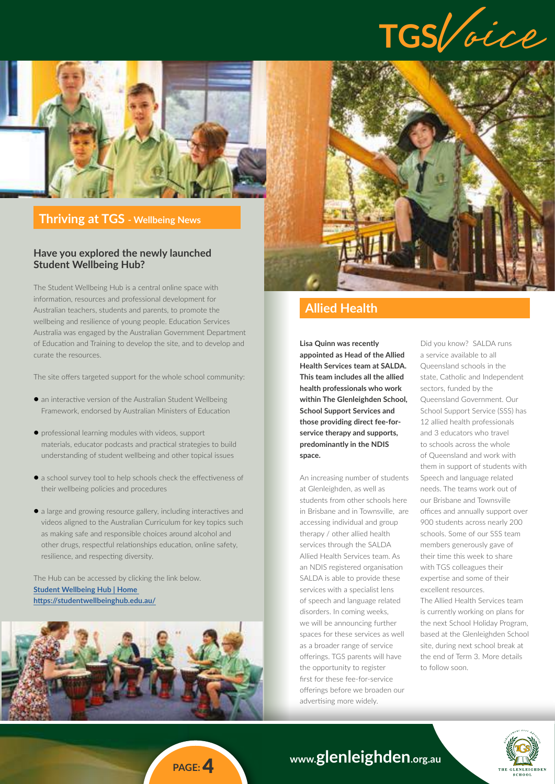



#### **Thriving at TGS - Wellbeing News**

#### **Have you explored the newly launched Student Wellbeing Hub?**

The Student Wellbeing Hub is a central online space with information, resources and professional development for Australian teachers, students and parents, to promote the wellbeing and resilience of young people. Education Services Australia was engaged by the Australian Government Department of Education and Training to develop the site, and to develop and curate the resources.

The site offers targeted support for the whole school community:

- **•** an interactive version of the Australian Student Wellbeing Framework, endorsed by Australian Ministers of Education
- **•** professional learning modules with videos, support materials, educator podcasts and practical strategies to build understanding of student wellbeing and other topical issues
- **•** a school survey tool to help schools check the effectiveness of their wellbeing policies and procedures
- **•** a large and growing resource gallery, including interactives and videos aligned to the Australian Curriculum for key topics such as making safe and responsible choices around alcohol and other drugs, respectful relationships education, online safety, resilience, and respecting diversity.

The Hub can be accessed by clicking the link below. **[Student Wellbeing Hub | Home](https://studentwellbeinghub.edu.au/)  <https://studentwellbeinghub.edu.au/>**





## **Allied Health**

**Lisa Quinn was recently appointed as Head of the Allied Health Services team at SALDA. This team includes all the allied health professionals who work within The Glenleighden School, School Support Services and those providing direct fee-forservice therapy and supports, predominantly in the NDIS space.** 

An increasing number of students at Glenleighden, as well as students from other schools here in Brisbane and in Townsville, are accessing individual and group therapy / other allied health services through the SALDA Allied Health Services team. As an NDIS registered organisation SALDA is able to provide these services with a specialist lens of speech and language related disorders. In coming weeks, we will be announcing further spaces for these services as well as a broader range of service offerings. TGS parents will have the opportunity to register first for these fee-for-service offerings before we broaden our advertising more widely.

Did you know? SALDA runs a service available to all Queensland schools in the state, Catholic and Independent sectors, funded by the Queensland Government. Our School Support Service (SSS) has 12 allied health professionals and 3 educators who travel to schools across the whole of Queensland and work with them in support of students with Speech and language related needs. The teams work out of our Brisbane and Townsville offices and annually support over 900 students across nearly 200 schools. Some of our SSS team members generously gave of their time this week to share with TGS colleagues their expertise and some of their excellent resources. The Allied Health Services team is currently working on plans for the next School Holiday Program,

based at the Glenleighden School site, during next school break at the end of Term 3. More details to follow soon.



## **www.glenleighden.org.au**

**PAGE:** 4